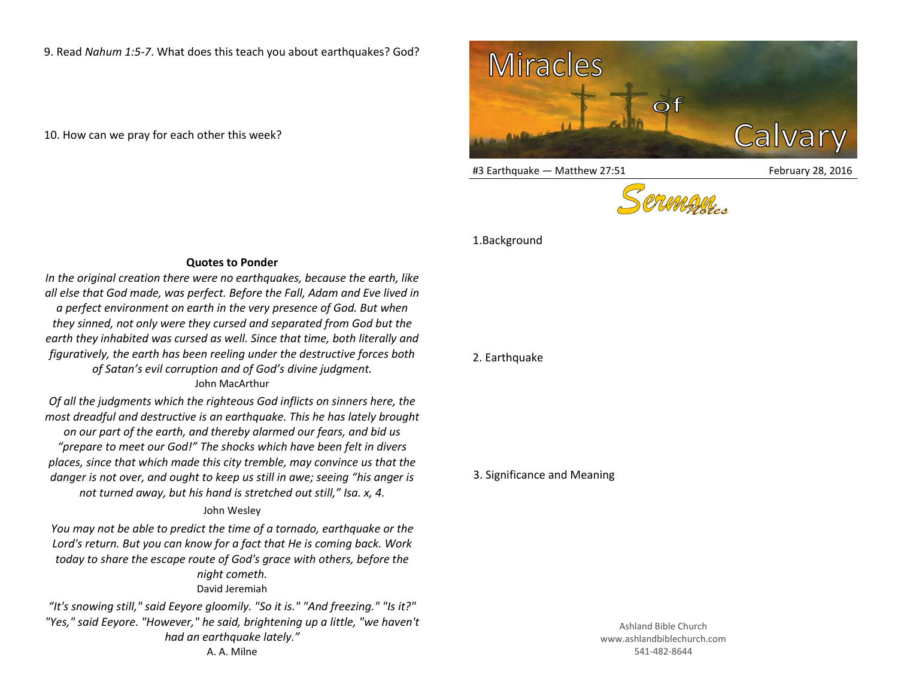9. Read *Nahum 1:5-7*. What does this teach you about earthquakes? God?

10. How can we pray for each other this week?



#3 Earthquake — Matthew 27:51 February 28, 2016



1.Background

## **Quotes to Ponder**

*In the original creation there were no earthquakes, because the earth, like all else that God made, was perfect. Before the Fall, Adam and Eve lived in a perfect environment on earth in the very presence of God. But when they sinned, not only were they cursed and separated from God but the earth they inhabited was cursed as well. Since that time, both literally and figuratively, the earth has been reeling under the destructive forces both of Satan's evil corruption and of God's divine judgment.* John MacArthur

*Of all the judgments which the righteous God inflicts on sinners here, the most dreadful and destructive is an earthquake. This he has lately brought on our part of the earth, and thereby alarmed our fears, and bid us "prepare to meet our God!" The shocks which have been felt in divers places, since that which made this city tremble, may convince us that the danger is not over, and ought to keep us still in awe; seeing "his anger is not turned away, but his hand is stretched out still," Isa. x, 4.* 

## John Wesley

*You may not be able to predict the time of a tornado, earthquake or the Lord's return. But you can know for a fact that He is coming back. Work today to share the escape route of God's grace with others, before the night cometh.* David Jeremiah

*"It's snowing still," said Eeyore gloomily. "So it is." "And freezing." "Is it?" "Yes," said Eeyore. "However," he said, brightening up a little, "we haven't had an earthquake lately."* A. A. Milne

## 2. Earthquake

## 3. Significance and Meaning

Ashland Bible Church www.ashlandbiblechurch.com 541-482-8644